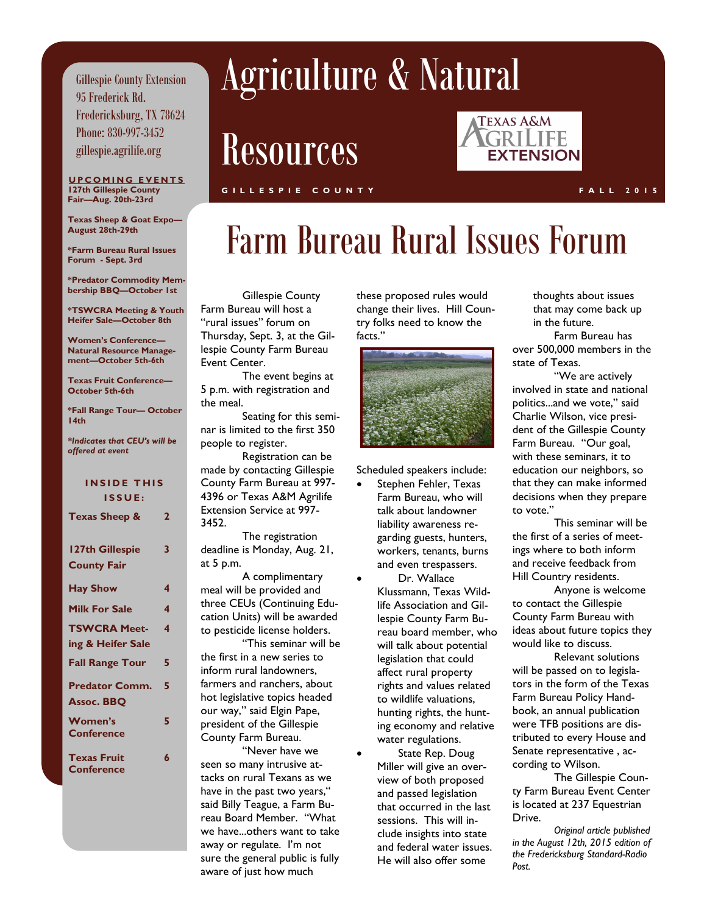Gillespie County Extension 95 Frederick Rd. Fredericksburg, TX 78624 Phone: 830-997-3452 gillespie.agrilife.org

#### **UPCOMING EVENTS 127th Gillespie County Fair—Aug. 20th-23rd**

**Texas Sheep & Goat Expo— August 28th-29th**

**\*Farm Bureau Rural Issues Forum - Sept. 3rd**

**\*Predator Commodity Membership BBQ—October 1st**

**\*TSWCRA Meeting & Youth Heifer Sale—October 8th**

**Women's Conference— Natural Resource Management—October 5th-6th**

**Texas Fruit Conference— October 5th-6th**

**\*Fall Range Tour— October 14th** 

*\*Indicates that CEU's will be offered at event*

#### **INSIDE THIS I S S U E : Texas Sheep & 2 127th Gillespie County Fair 3 Hay Show 4 Milk For Sale 4 TSWCRA Meeting & Heifer Sale 4 Fall Range Tour 5 Predator Comm. Assoc. BBQ 5 Women's Conference 5 Texas Fruit Conference 6**

# Agriculture & Natural

Resources

#### **TEXAS A&M** GRILIFE **EXTENSION**

#### **G I L L E S P I E C O U N T Y F A L L 2 0 1 5**

### Farm Bureau Rural Issues Forum

 Gillespie County Farm Bureau will host a "rural issues" forum on Thursday, Sept. 3, at the Gillespie County Farm Bureau Event Center.

The event begins at 5 p.m. with registration and the meal.

Seating for this seminar is limited to the first 350 people to register.

Registration can be made by contacting Gillespie County Farm Bureau at 997- 4396 or Texas A&M Agrilife Extension Service at 997- 3452.

The registration deadline is Monday, Aug. 21, at 5 p.m.

A complimentary meal will be provided and three CEUs (Continuing Education Units) will be awarded to pesticide license holders.

"This seminar will be the first in a new series to inform rural landowners, farmers and ranchers, about hot legislative topics headed our way," said Elgin Pape, president of the Gillespie County Farm Bureau.

"Never have we seen so many intrusive attacks on rural Texans as we have in the past two years," said Billy Teague, a Farm Bureau Board Member. "What we have...others want to take away or regulate. I'm not sure the general public is fully aware of just how much

these proposed rules would change their lives. Hill Country folks need to know the facts."



Scheduled speakers include:

- Stephen Fehler, Texas Farm Bureau, who will talk about landowner liability awareness regarding guests, hunters, workers, tenants, burns and even trespassers.
- Dr. Wallace Klussmann, Texas Wildlife Association and Gillespie County Farm Bureau board member, who will talk about potential legislation that could affect rural property rights and values related to wildlife valuations, hunting rights, the hunting economy and relative water regulations.

 State Rep. Doug Miller will give an overview of both proposed and passed legislation that occurred in the last sessions. This will include insights into state and federal water issues. He will also offer some

thoughts about issues that may come back up in the future.

Farm Bureau has over 500,000 members in the state of Texas.

"We are actively involved in state and national politics...and we vote," said Charlie Wilson, vice president of the Gillespie County Farm Bureau. "Our goal, with these seminars, it to education our neighbors, so that they can make informed decisions when they prepare to vote."

This seminar will be the first of a series of meetings where to both inform and receive feedback from Hill Country residents.

Anyone is welcome to contact the Gillespie County Farm Bureau with ideas about future topics they would like to discuss.

Relevant solutions will be passed on to legislators in the form of the Texas Farm Bureau Policy Handbook, an annual publication were TFB positions are distributed to every House and Senate representative , according to Wilson.

The Gillespie County Farm Bureau Event Center is located at 237 Equestrian Drive.

*Original article published in the August 12th, 2015 edition of the Fredericksburg Standard-Radio Post.*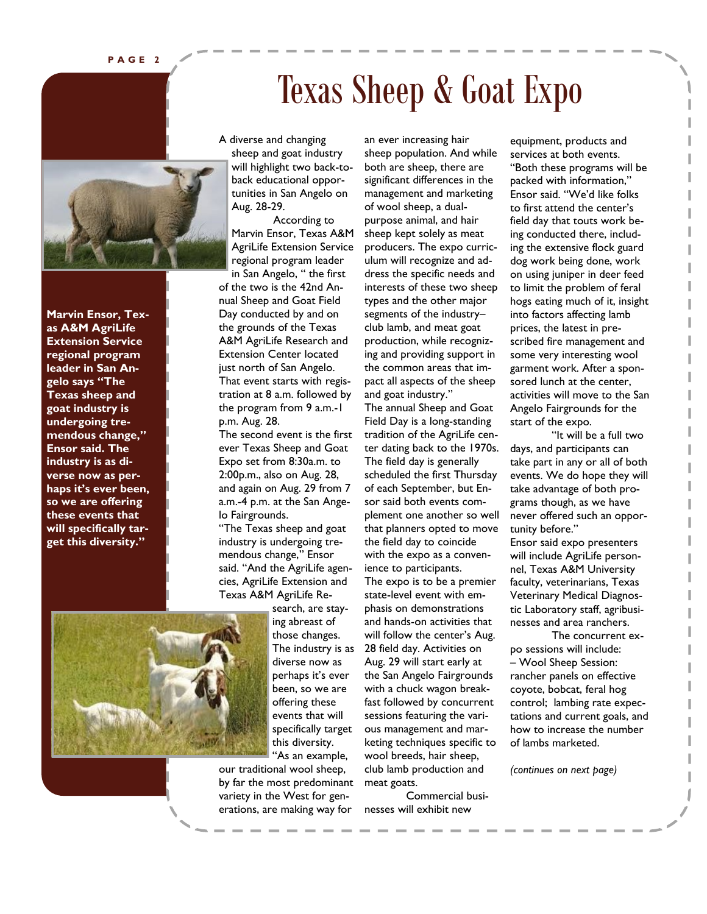**P A G E 2**



**Marvin Ensor, Texas A&M AgriLife Extension Service regional program leader in San Angelo says "The Texas sheep and goat industry is undergoing tremendous change," Ensor said. The industry is as diverse now as perhaps it's ever been, so we are offering these events that will specifically target this diversity."**

A diverse and changing sheep and goat industry will highlight two back-toback educational opportunities in San Angelo on Aug. 28-29.

According to Marvin Ensor, Texas A&M AgriLife Extension Service regional program leader

in San Angelo, " the first of the two is the 42nd Annual Sheep and Goat Field Day conducted by and on the grounds of the Texas A&M AgriLife Research and Extension Center located just north of San Angelo. That event starts with registration at 8 a.m. followed by the program from 9 a.m.-1 p.m. Aug. 28.

The second event is the first ever Texas Sheep and Goat Expo set from 8:30a.m. to 2:00p.m., also on Aug. 28, and again on Aug. 29 from 7 a.m.-4 p.m. at the San Angelo Fairgrounds.

"The Texas sheep and goat industry is undergoing tremendous change," Ensor said. "And the AgriLife agencies, AgriLife Extension and Texas A&M AgriLife Re-



search, are staying abreast of those changes. The industry is as diverse now as perhaps it's ever been, so we are offering these events that will specifically target this diversity.

"As an example, our traditional wool sheep, by far the most predominant variety in the West for generations, are making way for

an ever increasing hair sheep population. And while both are sheep, there are significant differences in the management and marketing of wool sheep, a dualpurpose animal, and hair sheep kept solely as meat producers. The expo curriculum will recognize and address the specific needs and interests of these two sheep types and the other major segments of the industry– club lamb, and meat goat production, while recognizing and providing support in the common areas that impact all aspects of the sheep and goat industry."

Texas Sheep & Goat Expo

The annual Sheep and Goat Field Day is a long-standing tradition of the AgriLife center dating back to the 1970s. The field day is generally scheduled the first Thursday of each September, but Ensor said both events complement one another so well that planners opted to move the field day to coincide with the expo as a convenience to participants. The expo is to be a premier state-level event with emphasis on demonstrations and hands-on activities that will follow the center's Aug. 28 field day. Activities on Aug. 29 will start early at the San Angelo Fairgrounds with a chuck wagon breakfast followed by concurrent sessions featuring the various management and marketing techniques specific to wool breeds, hair sheep, club lamb production and meat goats.

Commercial businesses will exhibit new

equipment, products and services at both events. "Both these programs will be packed with information," Ensor said. "We'd like folks to first attend the center's field day that touts work being conducted there, including the extensive flock guard dog work being done, work on using juniper in deer feed to limit the problem of feral hogs eating much of it, insight into factors affecting lamb prices, the latest in prescribed fire management and some very interesting wool garment work. After a sponsored lunch at the center, activities will move to the San Angelo Fairgrounds for the start of the expo.

"It will be a full two days, and participants can take part in any or all of both events. We do hope they will take advantage of both programs though, as we have never offered such an opportunity before." Ensor said expo presenters will include AgriLife personnel, Texas A&M University faculty, veterinarians, Texas Veterinary Medical Diagnostic Laboratory staff, agribusinesses and area ranchers.

The concurrent expo sessions will include: – Wool Sheep Session: rancher panels on effective coyote, bobcat, feral hog control; lambing rate expectations and current goals, and how to increase the number of lambs marketed.

*(continues on next page)*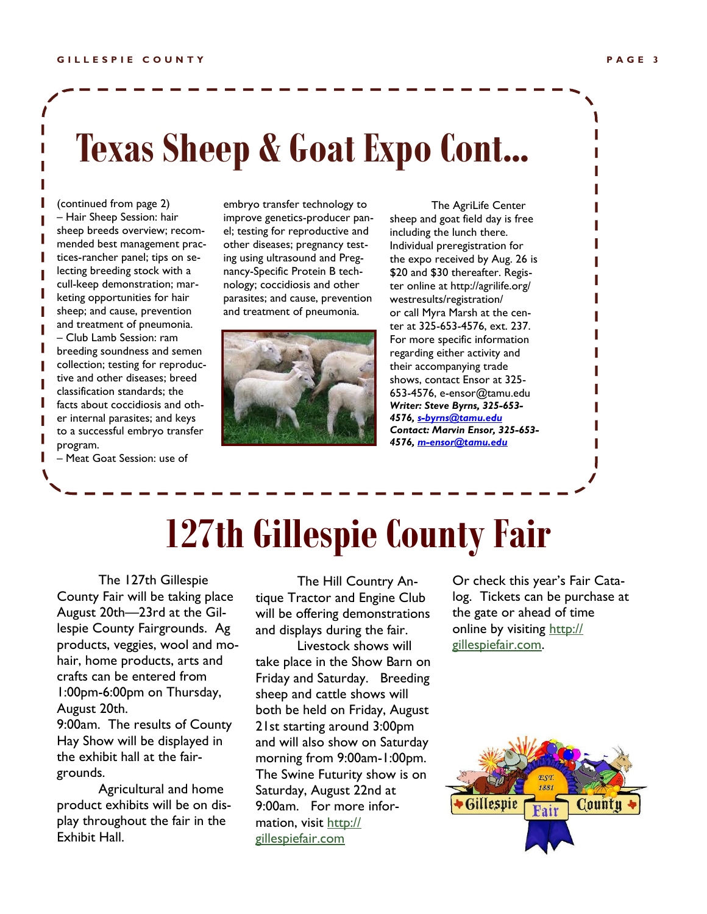(continued from page 2) – Hair Sheep Session: hair sheep breeds overview; recommended best management practices-rancher panel; tips on selecting breeding stock with a cull-keep demonstration; marketing opportunities for hair sheep; and cause, prevention and treatment of pneumonia. – Club Lamb Session: ram breeding soundness and semen collection; testing for reproductive and other diseases; breed classification standards; the facts about coccidiosis and other internal parasites; and keys to a successful embryo transfer program.

– Meat Goat Session: use of

embryo transfer technology to improve genetics-producer panel; testing for reproductive and other diseases; pregnancy testing using ultrasound and Pregnancy-Specific Protein B technology; coccidiosis and other parasites; and cause, prevention and treatment of pneumonia.



The AgriLife Center sheep and goat field day is free including the lunch there. Individual preregistration for the expo received by Aug. 26 is \$20 and \$30 thereafter. Register online at http://agrilife.org/ westresults/registration/ or call Myra Marsh at the center at 325-653-4576, ext. 237. For more specific information regarding either activity and their accompanying trade shows, contact Ensor at 325- 653-4576, e-ensor@tamu.edu *Writer: Steve Byrns, 325-653- 4576, [s-byrns@tamu.edu](mailto:s-byrns@tamu.edu) Contact: Marvin Ensor, 325-653- 4576, [m-ensor@tamu.edu](mailto:m-ensor@tamu.edu)*

# **127th Gillespie County Fair**

The 127th Gillespie County Fair will be taking place August 20th—23rd at the Gillespie County Fairgrounds. Ag products, veggies, wool and mohair, home products, arts and crafts can be entered from 1:00pm-6:00pm on Thursday, August 20th. 9:00am. The results of County

Hay Show will be displayed in the exhibit hall at the fairgrounds.

Agricultural and home product exhibits will be on display throughout the fair in the Exhibit Hall.

The Hill Country Antique Tractor and Engine Club will be offering demonstrations and displays during the fair.

Livestock shows will take place in the Show Barn on Friday and Saturday. Breeding sheep and cattle shows will both be held on Friday, August 21st starting around 3:00pm and will also show on Saturday morning from 9:00am-1:00pm. The Swine Futurity show is on Saturday, August 22nd at 9:00am. For more information, visit [http://](http://gillespiefair.com) [gillespiefair.com](http://gillespiefair.com)

Or check this year's Fair Catalog. Tickets can be purchase at the gate or ahead of time online by visiting [http://](http://gillespiefair.com) [gillespiefair.com.](http://gillespiefair.com) 

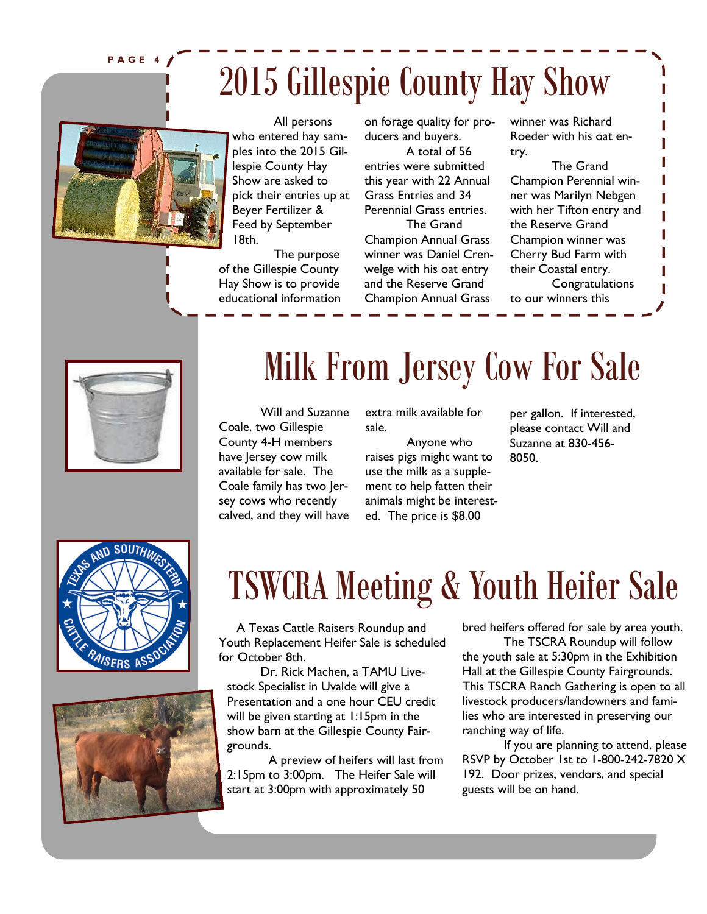**P A G E 4**

# 2015 Gillespie County Hay Show



All persons who entered hay samples into the 2015 Gillespie County Hay Show are asked to pick their entries up at Beyer Fertilizer & Feed by September 18th.

The purpose of the Gillespie County Hay Show is to provide educational information on forage quality for producers and buyers.

A total of 56 entries were submitted this year with 22 Annual Grass Entries and 34 Perennial Grass entries.

The Grand Champion Annual Grass winner was Daniel Crenwelge with his oat entry and the Reserve Grand Champion Annual Grass

winner was Richard Roeder with his oat entry.

The Grand Champion Perennial winner was Marilyn Nebgen with her Tifton entry and the Reserve Grand Champion winner was Cherry Bud Farm with their Coastal entry.

Congratulations to our winners this



## Milk From Jersey Cow For Sale

Will and Suzanne Coale, two Gillespie County 4-H members have Jersey cow milk available for sale. The Coale family has two Jersey cows who recently calved, and they will have

extra milk available for sale.

Anyone who raises pigs might want to use the milk as a supplement to help fatten their animals might be interested. The price is \$8.00

per gallon. If interested, please contact Will and Suzanne at 830-456- 8050.





## TSWCRA Meeting & Youth Heifer Sale

 A Texas Cattle Raisers Roundup and Youth Replacement Heifer Sale is scheduled for October 8th.

Dr. Rick Machen, a TAMU Livestock Specialist in Uvalde will give a Presentation and a one hour CEU credit will be given starting at 1:15pm in the show barn at the Gillespie County Fairgrounds.

A preview of heifers will last from 2:15pm to 3:00pm. The Heifer Sale will start at 3:00pm with approximately 50

bred heifers offered for sale by area youth.

The TSCRA Roundup will follow the youth sale at 5:30pm in the Exhibition Hall at the Gillespie County Fairgrounds. This TSCRA Ranch Gathering is open to all livestock producers/landowners and families who are interested in preserving our ranching way of life.

If you are planning to attend, please RSVP by October 1st to 1-800-242-7820 X 192. Door prizes, vendors, and special guests will be on hand.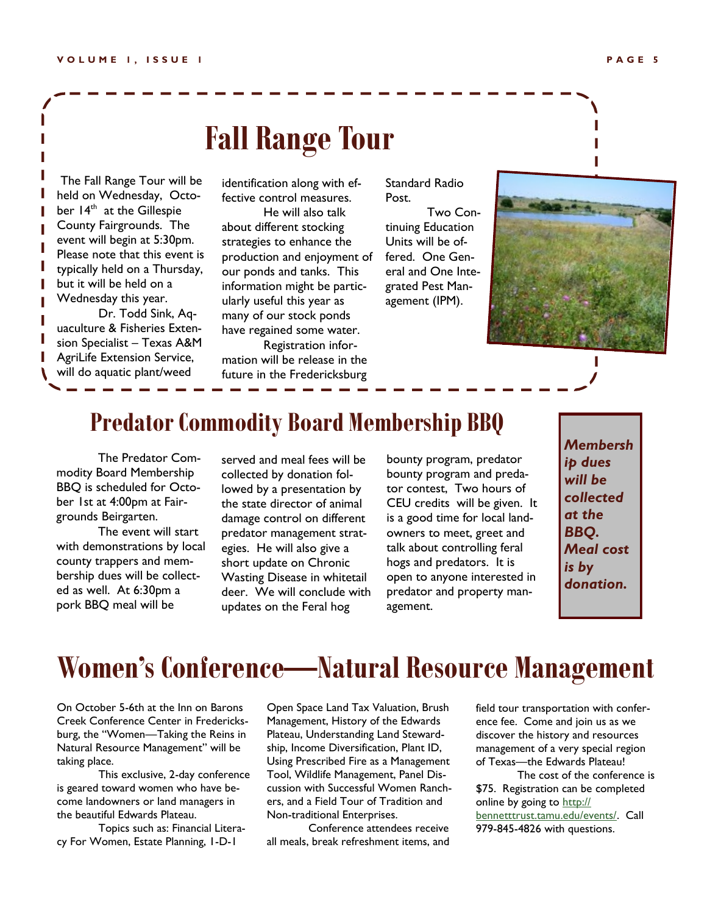### **Fall Range Tour**

The Fall Range Tour will be held on Wednesday, October 14<sup>th</sup> at the Gillespie County Fairgrounds. The event will begin at 5:30pm. Please note that this event is typically held on a Thursday, but it will be held on a Wednesday this year.

Dr. Todd Sink, Aquaculture & Fisheries Extension Specialist – Texas A&M AgriLife Extension Service, will do aquatic plant/weed

identification along with effective control measures.

He will also talk about different stocking strategies to enhance the production and enjoyment of our ponds and tanks. This information might be particularly useful this year as many of our stock ponds have regained some water.

Registration information will be release in the future in the Fredericksburg

Standard Radio Post.

Two Continuing Education Units will be offered. One General and One Integrated Pest Management (IPM).



#### **Predator Commodity Board Membership BBQ**

The Predator Commodity Board Membership BBQ is scheduled for October 1st at 4:00pm at Fairgrounds Beirgarten.

The event will start with demonstrations by local county trappers and membership dues will be collected as well. At 6:30pm a pork BBQ meal will be

served and meal fees will be collected by donation followed by a presentation by the state director of animal damage control on different predator management strategies. He will also give a short update on Chronic Wasting Disease in whitetail deer. We will conclude with updates on the Feral hog

bounty program, predator bounty program and predator contest, Two hours of CEU credits will be given. It is a good time for local landowners to meet, greet and talk about controlling feral hogs and predators. It is open to anyone interested in predator and property management.

*Membersh ip dues will be collected at the BBQ. Meal cost is by donation.* 

### **Women's Conference—Natural Resource Management**

On October 5-6th at the Inn on Barons Creek Conference Center in Fredericksburg, the "Women—Taking the Reins in Natural Resource Management" will be taking place.

This exclusive, 2-day conference is geared toward women who have become landowners or land managers in the beautiful Edwards Plateau.

Topics such as: Financial Literacy For Women, Estate Planning, 1-D-1

Open Space Land Tax Valuation, Brush Management, History of the Edwards Plateau, Understanding Land Stewardship, Income Diversification, Plant ID, Using Prescribed Fire as a Management Tool, Wildlife Management, Panel Discussion with Successful Women Ranchers, and a Field Tour of Tradition and Non-traditional Enterprises.

Conference attendees receive all meals, break refreshment items, and field tour transportation with conference fee. Come and join us as we discover the history and resources management of a very special region of Texas—the Edwards Plateau!

The cost of the conference is \$75. Registration can be completed online by going to [http://](http://bennetttrust.tamu.edu/events/) [bennetttrust.tamu.edu/events/.](http://bennetttrust.tamu.edu/events/) Call 979-845-4826 with questions.